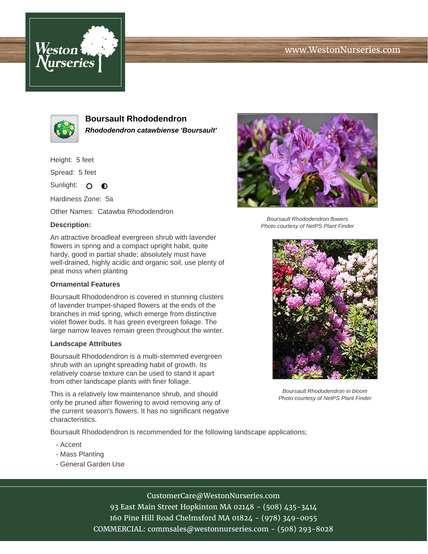# www.WestonNurseries.com





**Boursault Rhododendron Rhododendron catawbiense 'Boursault'**

Height: 5 feet

Spread: 5 feet

Sunlight: O **O** 

Hardiness Zone: 5a

Other Names: Catawba Rhododendron

### **Description:**

An attractive broadleaf evergreen shrub with lavender flowers in spring and a compact upright habit, quite hardy, good in partial shade; absolutely must have well-drained, highly acidic and organic soil, use plenty of peat moss when planting

#### **Ornamental Features**

Boursault Rhododendron is covered in stunning clusters of lavender trumpet-shaped flowers at the ends of the branches in mid spring, which emerge from distinctive violet flower buds. It has green evergreen foliage. The large narrow leaves remain green throughout the winter.

#### **Landscape Attributes**

Boursault Rhododendron is a multi-stemmed evergreen shrub with an upright spreading habit of growth. Its relatively coarse texture can be used to stand it apart from other landscape plants with finer foliage.

This is a relatively low maintenance shrub, and should only be pruned after flowering to avoid removing any of the current season's flowers. It has no significant negative characteristics.

Boursault Rhododendron is recommended for the following landscape applications;

- Accent
- Mass Planting
- General Garden Use



Boursault Rhododendron flowers Photo courtesy of NetPS Plant Finder



Boursault Rhododendron in bloom Photo courtesy of NetPS Plant Finder

# CustomerCare@WestonNurseries.com

93 East Main Street Hopkinton MA 02148 - (508) 435-3414 160 Pine Hill Road Chelmsford MA 01824 - (978) 349-0055 COMMERCIAL: commsales@westonnurseries.com - (508) 293-8028